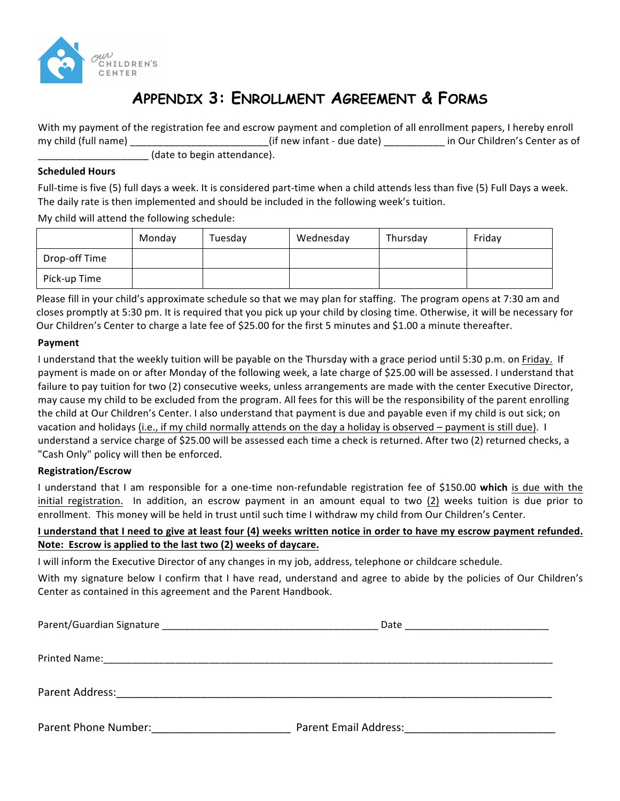

## **APPENDIX 3: ENROLLMENT AGREEMENT & FORMS**

With my payment of the registration fee and escrow payment and completion of all enrollment papers, I hereby enroll my child (full name) \_\_\_\_\_\_\_\_\_\_\_\_\_\_\_\_\_\_\_\_\_\_\_\_\_\_\_(if new infant - due date) \_\_\_\_\_\_\_\_\_\_\_\_\_ in Our Children's Center as of

(date to begin attendance).

#### **Scheduled Hours**

Full-time is five (5) full days a week. It is considered part-time when a child attends less than five (5) Full Days a week. The daily rate is then implemented and should be included in the following week's tuition.

My child will attend the following schedule:

|               | Monday | Tuesday | Wednesday | Thursday | Friday |
|---------------|--------|---------|-----------|----------|--------|
| Drop-off Time |        |         |           |          |        |
| Pick-up Time  |        |         |           |          |        |

Please fill in your child's approximate schedule so that we may plan for staffing. The program opens at 7:30 am and closes promptly at 5:30 pm. It is required that you pick up your child by closing time. Otherwise, it will be necessary for Our Children's Center to charge a late fee of \$25.00 for the first 5 minutes and \$1.00 a minute thereafter.

### **Payment**

I understand that the weekly tuition will be payable on the Thursday with a grace period until 5:30 p.m. on Friday. If payment is made on or after Monday of the following week, a late charge of \$25.00 will be assessed. I understand that failure to pay tuition for two (2) consecutive weeks, unless arrangements are made with the center Executive Director, may cause my child to be excluded from the program. All fees for this will be the responsibility of the parent enrolling the child at Our Children's Center. I also understand that payment is due and payable even if my child is out sick; on vacation and holidays (i.e., if my child normally attends on the day a holiday is observed – payment is still due). I understand a service charge of \$25.00 will be assessed each time a check is returned. After two (2) returned checks, a "Cash Only" policy will then be enforced.

#### **Registration/Escrow**

I understand that I am responsible for a one-time non-refundable registration fee of \$150.00 which is due with the initial registration. In addition, an escrow payment in an amount equal to two (2) weeks tuition is due prior to enrollment. This money will be held in trust until such time I withdraw my child from Our Children's Center.

### I understand that I need to give at least four (4) weeks written notice in order to have my escrow payment refunded. Note: Escrow is applied to the last two (2) weeks of daycare.

I will inform the Executive Director of any changes in my job, address, telephone or childcare schedule.

With my signature below I confirm that I have read, understand and agree to abide by the policies of Our Children's Center as contained in this agreement and the Parent Handbook.

|                      | Date                  |
|----------------------|-----------------------|
|                      |                       |
| Parent Address:      |                       |
| Parent Phone Number: | Parent Email Address: |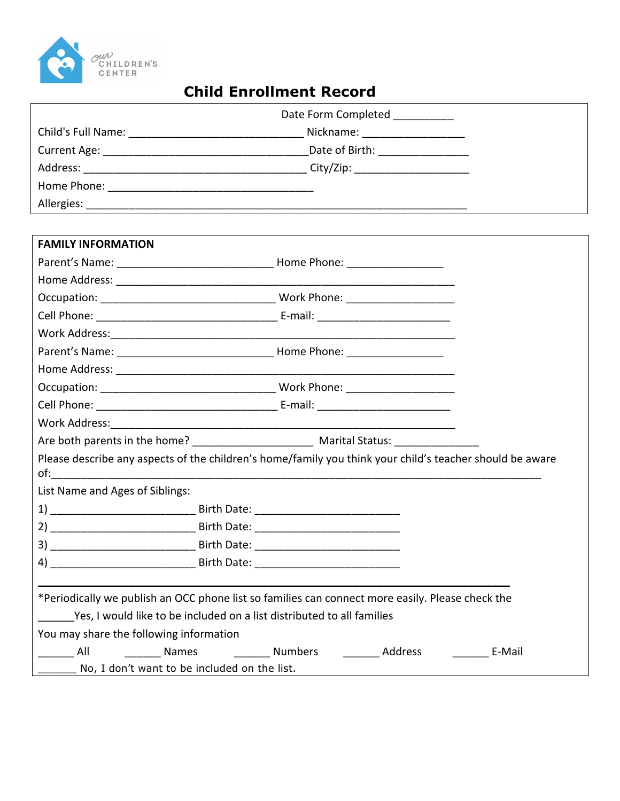

## **Child Enrollment Record**

|                    | Date Form Completed              |
|--------------------|----------------------------------|
| Child's Full Name: | Nickname: ___________________    |
|                    | Date of Birth: _______________   |
|                    | City/Zip: ______________________ |
| Home Phone:        |                                  |
|                    |                                  |

| <b>FAMILY INFORMATION</b>                    |                                                                                                          |
|----------------------------------------------|----------------------------------------------------------------------------------------------------------|
|                                              |                                                                                                          |
|                                              |                                                                                                          |
|                                              |                                                                                                          |
|                                              |                                                                                                          |
|                                              |                                                                                                          |
|                                              |                                                                                                          |
|                                              |                                                                                                          |
|                                              |                                                                                                          |
|                                              |                                                                                                          |
|                                              |                                                                                                          |
|                                              |                                                                                                          |
|                                              | Please describe any aspects of the children's home/family you think your child's teacher should be aware |
| List Name and Ages of Siblings:              |                                                                                                          |
|                                              |                                                                                                          |
|                                              |                                                                                                          |
|                                              |                                                                                                          |
|                                              |                                                                                                          |
|                                              |                                                                                                          |
|                                              | *Periodically we publish an OCC phone list so families can connect more easily. Please check the         |
|                                              | Yes, I would like to be included on a list distributed to all families                                   |
| You may share the following information      |                                                                                                          |
|                                              | Address<br>E-Mail                                                                                        |
| No, I don't want to be included on the list. |                                                                                                          |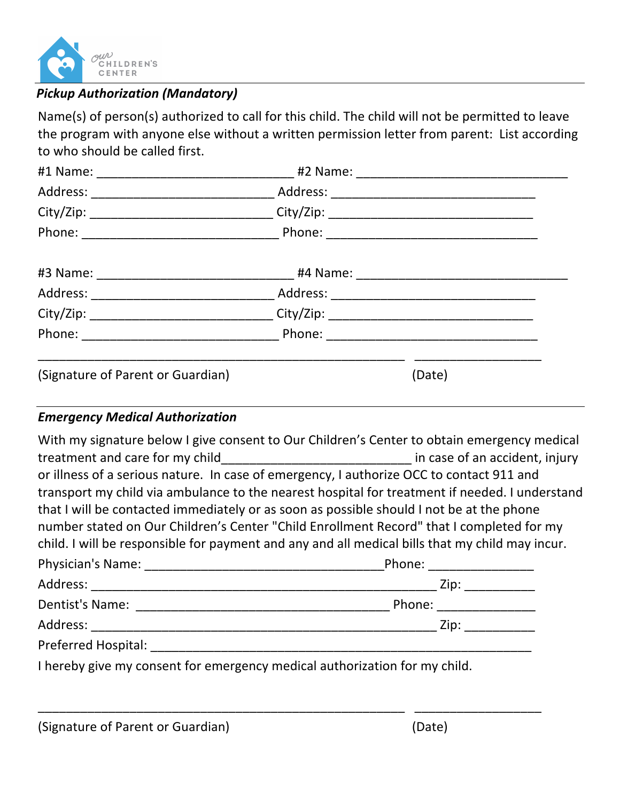

## *Pickup Authorization (Mandatory)*

Name(s) of person(s) authorized to call for this child. The child will not be permitted to leave the program with anyone else without a written permission letter from parent: List according to who should be called first.

|                                   | City/Zip: ________________________________City/Zip: ____________________________                                                                                                                                               |        |  |
|-----------------------------------|--------------------------------------------------------------------------------------------------------------------------------------------------------------------------------------------------------------------------------|--------|--|
|                                   | Phone: Phone: Phone: Phone: Phone: Phone: Phone: Phone: Phone: Phone: Phone: Phone: Phone: Phone: Phone: Phone: Phone: Phone: Phone: Phone: Phone: Phone: Phone: Phone: Phone: Phone: Phone: Phone: Phone: Phone: Phone: Phone |        |  |
| (Signature of Parent or Guardian) |                                                                                                                                                                                                                                | (Date) |  |

## *Emergency Medical Authorization*

| With my signature below I give consent to Our Children's Center to obtain emergency medical                                                                                                                                                                                             |  |
|-----------------------------------------------------------------------------------------------------------------------------------------------------------------------------------------------------------------------------------------------------------------------------------------|--|
| treatment and care for my child_________________________________in case of an accident, injury                                                                                                                                                                                          |  |
| or illness of a serious nature. In case of emergency, I authorize OCC to contact 911 and                                                                                                                                                                                                |  |
| transport my child via ambulance to the nearest hospital for treatment if needed. I understand                                                                                                                                                                                          |  |
| that I will be contacted immediately or as soon as possible should I not be at the phone<br>number stated on Our Children's Center "Child Enrollment Record" that I completed for my<br>child. I will be responsible for payment and any and all medical bills that my child may incur. |  |
|                                                                                                                                                                                                                                                                                         |  |
|                                                                                                                                                                                                                                                                                         |  |
|                                                                                                                                                                                                                                                                                         |  |
|                                                                                                                                                                                                                                                                                         |  |
|                                                                                                                                                                                                                                                                                         |  |
| I hereby give my consent for emergency medical authorization for my child.                                                                                                                                                                                                              |  |

\_\_\_\_\_\_\_\_\_\_\_\_\_\_\_\_\_\_\_\_\_\_\_\_\_\_\_\_\_\_\_\_\_\_\_\_\_\_\_\_\_\_\_\_\_\_\_\_\_\_\_\_ \_\_\_\_\_\_\_\_\_\_\_\_\_\_\_\_\_\_

| (Signature of Parent or Guardian) | (Date) |
|-----------------------------------|--------|
|-----------------------------------|--------|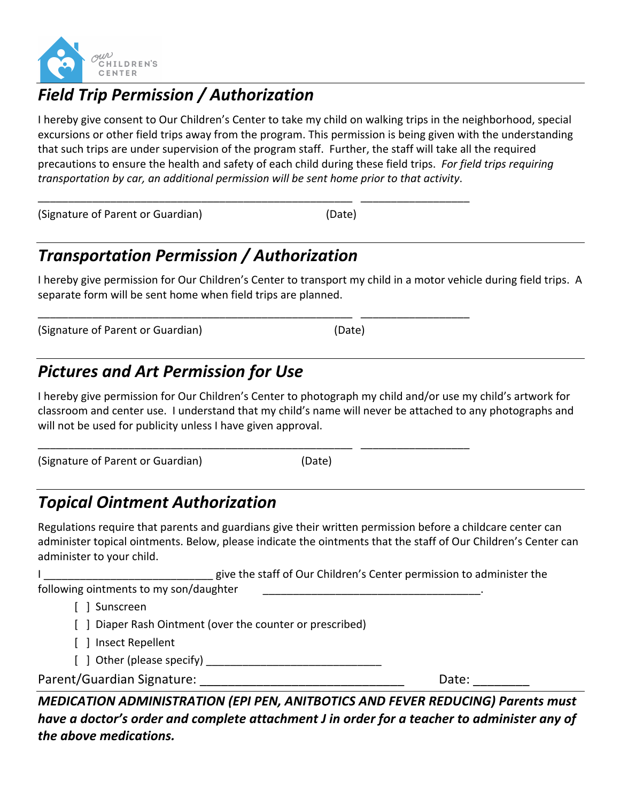

# **Field Trip Permission / Authorization**

I hereby give consent to Our Children's Center to take my child on walking trips in the neighborhood, special excursions or other field trips away from the program. This permission is being given with the understanding that such trips are under supervision of the program staff. Further, the staff will take all the required precautions to ensure the health and safety of each child during these field trips. For field trips requiring *transportation by car, an additional permission will be sent home prior to that activity.* 

(Signature of Parent or Guardian) (Date)

# *Transportation Permission / Authorization*

I hereby give permission for Our Children's Center to transport my child in a motor vehicle during field trips. A separate form will be sent home when field trips are planned.

(Signature of Parent or Guardian) (Date)

# *Pictures and Art Permission for Use*

I hereby give permission for Our Children's Center to photograph my child and/or use my child's artwork for classroom and center use. I understand that my child's name will never be attached to any photographs and will not be used for publicity unless I have given approval.

\_\_\_\_\_\_\_\_\_\_\_\_\_\_\_\_\_\_\_\_\_\_\_\_\_\_\_\_\_\_\_\_\_\_\_\_\_\_\_\_\_\_\_\_\_\_\_\_\_\_\_\_ \_\_\_\_\_\_\_\_\_\_\_\_\_\_\_\_\_\_

(Signature of Parent or Guardian) (Date)

## *Topical Ointment Authorization*

Regulations require that parents and guardians give their written permission before a childcare center can administer topical ointments. Below, please indicate the ointments that the staff of Our Children's Center can administer to your child.

I I Letter the staff of Our Children's Center permission to administer the following ointments to my son/daughter [ ] Sunscreen

[  $\parallel$  Diaper Rash Ointment (over the counter or prescribed)

[ ] Insect Repellent

[ ] Other (please specify) \_\_\_\_\_\_\_\_\_\_\_\_\_\_\_\_\_\_\_\_\_\_\_\_\_\_\_\_\_

Parent/Guardian Signature: \_\_\_\_\_\_\_\_\_\_\_\_\_\_\_\_\_\_\_\_\_\_\_\_\_\_\_\_\_ Date: \_\_\_\_\_\_\_\_

*MEDICATION ADMINISTRATION (EPI PEN, ANITBOTICS AND FEVER REDUCING) Parents must have a doctor's order and complete attachment J in order for a teacher to administer any of the above medications.*

\_\_\_\_\_\_\_\_\_\_\_\_\_\_\_\_\_\_\_\_\_\_\_\_\_\_\_\_\_\_\_\_\_\_\_\_\_\_\_\_\_\_\_\_\_\_\_\_\_\_\_\_ \_\_\_\_\_\_\_\_\_\_\_\_\_\_\_\_\_\_

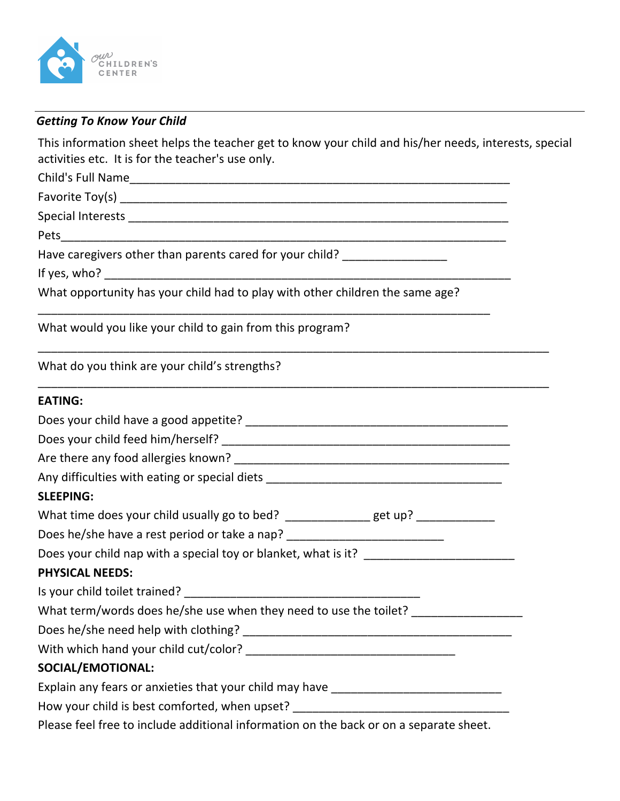

### **Getting To Know Your Child**

This information sheet helps the teacher get to know your child and his/her needs, interests, special activities etc. It is for the teacher's use only.

Child's Full Name\_\_\_\_\_\_\_\_\_\_\_\_\_\_\_\_\_\_\_\_\_\_\_\_\_\_\_\_\_\_\_\_\_\_\_\_\_\_\_\_\_\_\_\_\_\_\_\_\_\_\_\_\_\_\_\_\_\_

Favorite Toy(s) \_\_\_\_\_\_\_\_\_\_\_\_\_\_\_\_\_\_\_\_\_\_\_\_\_\_\_\_\_\_\_\_\_\_\_\_\_\_\_\_\_\_\_\_\_\_\_\_\_\_\_\_\_\_\_\_\_\_\_

Special Interests \_\_\_\_\_\_\_\_\_\_\_\_\_\_\_\_\_\_\_\_\_\_\_\_\_\_\_\_\_\_\_\_\_\_\_\_\_\_\_\_\_\_\_\_\_\_\_\_\_\_\_\_\_\_\_\_\_\_

Pets

Have caregivers other than parents cared for your child? \_\_\_\_\_\_\_\_\_\_\_\_\_\_\_\_\_\_\_\_\_\_\_

If yes, who? \_\_\_\_\_\_\_\_\_\_\_\_\_\_\_\_\_\_\_\_\_\_\_\_\_\_\_\_\_\_\_\_\_\_\_\_\_\_\_\_\_\_\_\_\_\_\_\_\_\_\_\_\_\_\_\_\_\_\_\_\_\_

What opportunity has your child had to play with other children the same age?

\_\_\_\_\_\_\_\_\_\_\_\_\_\_\_\_\_\_\_\_\_\_\_\_\_\_\_\_\_\_\_\_\_\_\_\_\_\_\_\_\_\_\_\_\_\_\_\_\_\_\_\_\_\_\_\_\_\_\_\_\_\_\_\_\_\_\_\_\_

\_\_\_\_\_\_\_\_\_\_\_\_\_\_\_\_\_\_\_\_\_\_\_\_\_\_\_\_\_\_\_\_\_\_\_\_\_\_\_\_\_\_\_\_\_\_\_\_\_\_\_\_\_\_\_\_\_\_\_\_\_\_\_\_\_\_\_\_\_\_\_\_\_\_\_\_\_\_

\_\_\_\_\_\_\_\_\_\_\_\_\_\_\_\_\_\_\_\_\_\_\_\_\_\_\_\_\_\_\_\_\_\_\_\_\_\_\_\_\_\_\_\_\_\_\_\_\_\_\_\_\_\_\_\_\_\_\_\_\_\_\_\_\_\_\_\_\_\_\_\_\_\_\_\_\_\_

What would you like your child to gain from this program?

What do you think are your child's strengths?

## **EATING:**

| Any difficulties with eating or special diets ___________________________________       |
|-----------------------------------------------------------------------------------------|
| <b>SLEEPING:</b>                                                                        |
| What time does your child usually go to bed? _____________get up? _____________         |
| Does he/she have a rest period or take a nap? __________________________________        |
| Does your child nap with a special toy or blanket, what is it? ________________________ |
| <b>PHYSICAL NEEDS:</b>                                                                  |
|                                                                                         |
| What term/words does he/she use when they need to use the toilet? ______________        |
|                                                                                         |
|                                                                                         |
| <b>SOCIAL/EMOTIONAL:</b>                                                                |
| Explain any fears or anxieties that your child may have ________________________        |
| How your child is best comforted, when upset? __________________________________        |
| Please feel free to include additional information on the back or on a separate sheet.  |